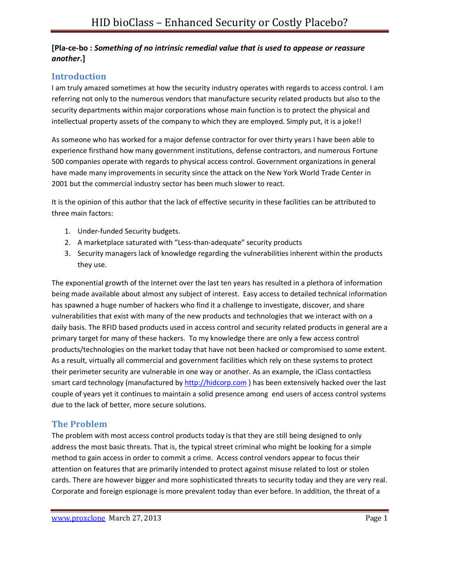#### **[Pla-ce-bo :** *Something of no intrinsic remedial value that is used to appease or reassure another***.]**

### **Introduction**

I am truly amazed sometimes at how the security industry operates with regards to access control. I am referring not only to the numerous vendors that manufacture security related products but also to the security departments within major corporations whose main function is to protect the physical and intellectual property assets of the company to which they are employed. Simply put, it is a joke!!

As someone who has worked for a major defense contractor for over thirty years I have been able to experience firsthand how many government institutions, defense contractors, and numerous Fortune 500 companies operate with regards to physical access control. Government organizations in general have made many improvements in security since the attack on the New York World Trade Center in 2001 but the commercial industry sector has been much slower to react.

It is the opinion of this author that the lack of effective security in these facilities can be attributed to three main factors:

- 1. Under-funded Security budgets.
- 2. A marketplace saturated with "Less-than-adequate" security products
- 3. Security managers lack of knowledge regarding the vulnerabilities inherent within the products they use.

The exponential growth of the Internet over the last ten years has resulted in a plethora of information being made available about almost any subject of interest. Easy access to detailed technical information has spawned a huge number of hackers who find it a challenge to investigate, discover, and share vulnerabilities that exist with many of the new products and technologies that we interact with on a daily basis. The RFID based products used in access control and security related products in general are a primary target for many of these hackers. To my knowledge there are only a few access control products/technologies on the market today that have not been hacked or compromised to some extent. As a result, virtually all commercial and government facilities which rely on these systems to protect their perimeter security are vulnerable in one way or another. As an example, the iClass contactless smart card technology (manufactured by http://hidcorp.com ) has been extensively hacked over the last couple of years yet it continues to maintain a solid presence among end users of access control systems due to the lack of better, more secure solutions.

## **The Problem**

The problem with most access control products today is that they are still being designed to only address the most basic threats. That is, the typical street criminal who might be looking for a simple method to gain access in order to commit a crime. Access control vendors appear to focus their attention on features that are primarily intended to protect against misuse related to lost or stolen cards. There are however bigger and more sophisticated threats to security today and they are very real. Corporate and foreign espionage is more prevalent today than ever before. In addition, the threat of a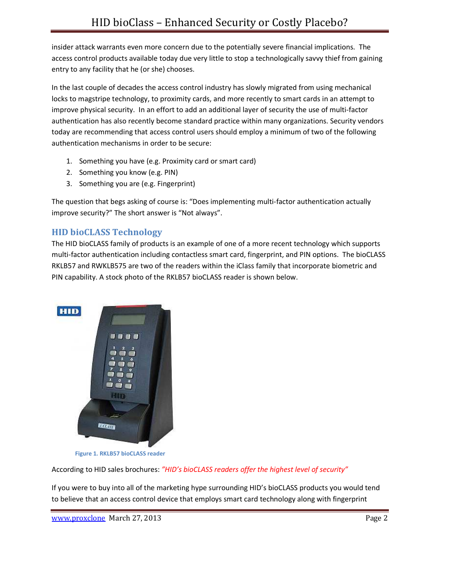insider attack warrants even more concern due to the potentially severe financial implications. The access control products available today due very little to stop a technologically savvy thief from gaining entry to any facility that he (or she) chooses.

In the last couple of decades the access control industry has slowly migrated from using mechanical locks to magstripe technology, to proximity cards, and more recently to smart cards in an attempt to improve physical security. In an effort to add an additional layer of security the use of multi-factor authentication has also recently become standard practice within many organizations. Security vendors today are recommending that access control users should employ a minimum of two of the following authentication mechanisms in order to be secure:

- 1. Something you have (e.g. Proximity card or smart card)
- 2. Something you know (e.g. PIN)
- 3. Something you are (e.g. Fingerprint)

The question that begs asking of course is: "Does implementing multi-factor authentication actually improve security?" The short answer is "Not always".

### **HID bioCLASS Technology**

The HID bioCLASS family of products is an example of one of a more recent technology which supports multi-factor authentication including contactless smart card, fingerprint, and PIN options. The bioCLASS RKLB57 and RWKLB575 are two of the readers within the iClass family that incorporate biometric and PIN capability. A stock photo of the RKLB57 bioCLASS reader is shown below.



 **Figure 1. RKLB57 bioCLASS reader** 

According to HID sales brochures: *"HID's bioCLASS readers offer the highest level of security"*

If you were to buy into all of the marketing hype surrounding HID's bioCLASS products you would tend to believe that an access control device that employs smart card technology along with fingerprint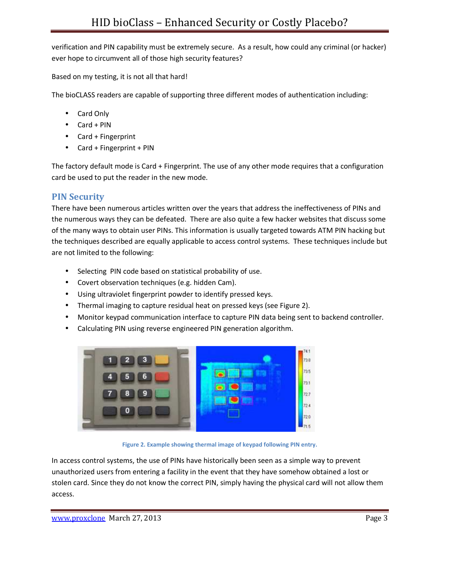verification and PIN capability must be extremely secure. As a result, how could any criminal (or hacker) ever hope to circumvent all of those high security features?

Based on my testing, it is not all that hard!

The bioCLASS readers are capable of supporting three different modes of authentication including:

- Card Only
- Card + PIN
- Card + Fingerprint
- Card + Fingerprint + PIN

The factory default mode is Card + Fingerprint. The use of any other mode requires that a configuration card be used to put the reader in the new mode.

# **PIN Security**

There have been numerous articles written over the years that address the ineffectiveness of PINs and the numerous ways they can be defeated. There are also quite a few hacker websites that discuss some of the many ways to obtain user PINs. This information is usually targeted towards ATM PIN hacking but the techniques described are equally applicable to access control systems. These techniques include but are not limited to the following:

- Selecting PIN code based on statistical probability of use.
- Covert observation techniques (e.g. hidden Cam).
- Using ultraviolet fingerprint powder to identify pressed keys.
- Thermal imaging to capture residual heat on pressed keys (see Figure 2).
- Monitor keypad communication interface to capture PIN data being sent to backend controller.
- Calculating PIN using reverse engineered PIN generation algorithm.



**Figure 2. Example showing thermal image of keypad following PIN entry.**

In access control systems, the use of PINs have historically been seen as a simple way to prevent unauthorized users from entering a facility in the event that they have somehow obtained a lost or stolen card. Since they do not know the correct PIN, simply having the physical card will not allow them access.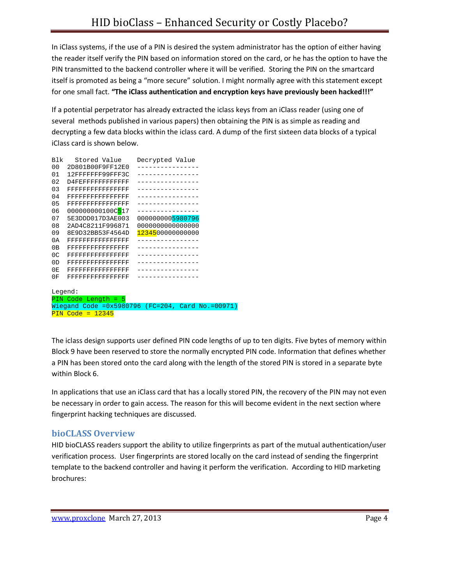In iClass systems, if the use of a PIN is desired the system administrator has the option of either having the reader itself verify the PIN based on information stored on the card, or he has the option to have the PIN transmitted to the backend controller where it will be verified. Storing the PIN on the smartcard itself is promoted as being a "more secure" solution. I might normally agree with this statement except for one small fact. **"The iClass authentication and encryption keys have previously been hacked!!!"**

If a potential perpetrator has already extracted the iclass keys from an iClass reader (using one of several methods published in various papers) then obtaining the PIN is as simple as reading and decrypting a few data blocks within the iclass card. A dump of the first sixteen data blocks of a typical iClass card is shown below.

| Blk                                                 | Stored Value                    | Decrypted Value  |  |  |
|-----------------------------------------------------|---------------------------------|------------------|--|--|
| 00                                                  | 2D801B00F9FF12E0                |                  |  |  |
| 01                                                  | 12FFFFFFF99FFF3C                |                  |  |  |
| 02                                                  | D4FEFFFFFFFFFFFFF               |                  |  |  |
| 0.3                                                 | FFFFFFFFFFFFFFFF                |                  |  |  |
| 0 <sub>4</sub>                                      | FFFFFFFFFFFFFFFF                |                  |  |  |
| 0.5                                                 | FFFFFFFFFFFFFFFF                |                  |  |  |
| 06                                                  | 000000000100C <mark>5</mark> 17 |                  |  |  |
| 07                                                  | 5E3DDD017D3AE003                | 0000000005980796 |  |  |
| 08                                                  | 2AD4C8211F996871                | 000000000000000  |  |  |
| 09                                                  | 8E9D32BB53F4564D                | 1234500000000000 |  |  |
| 0A                                                  | FFFFFFFFFFFFFFFF                |                  |  |  |
| 0В                                                  | FFFFFFFFFFFFFFFF                |                  |  |  |
| 0 <sup>C</sup>                                      | FFFFFFFFFFFFFFFF                |                  |  |  |
| 0 <sub>D</sub>                                      | FFFFFFFFFFFFFFFF                |                  |  |  |
| 0E                                                  | FFFFFFFFFFFFFFFF                |                  |  |  |
| 0F                                                  | FFFFFFFFFFFFFFFF                |                  |  |  |
|                                                     |                                 |                  |  |  |
| Legend:                                             |                                 |                  |  |  |
|                                                     | PIN Code Length = $5$           |                  |  |  |
| Wiegand Code = $0x5980796$ (FC=204, Card No.=00971) |                                 |                  |  |  |
| $PIN Code = 12345$                                  |                                 |                  |  |  |

The iclass design supports user defined PIN code lengths of up to ten digits. Five bytes of memory within Block 9 have been reserved to store the normally encrypted PIN code. Information that defines whether a PIN has been stored onto the card along with the length of the stored PIN is stored in a separate byte within Block 6.

In applications that use an iClass card that has a locally stored PIN, the recovery of the PIN may not even be necessary in order to gain access. The reason for this will become evident in the next section where fingerprint hacking techniques are discussed.

### **bioCLASS Overview**

HID bioCLASS readers support the ability to utilize fingerprints as part of the mutual authentication/user verification process. User fingerprints are stored locally on the card instead of sending the fingerprint template to the backend controller and having it perform the verification. According to HID marketing brochures: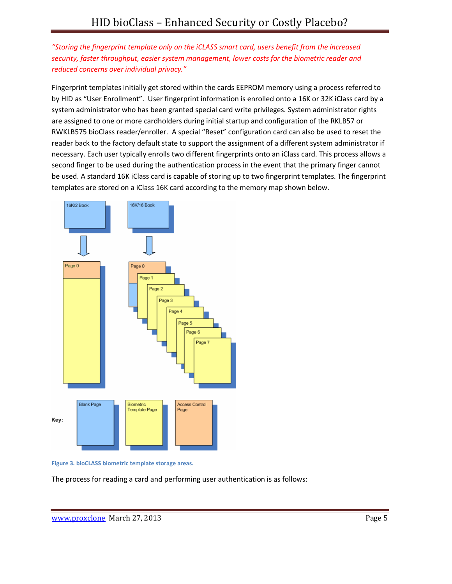*"Storing the fingerprint template only on the iCLASS smart card, users benefit from the increased security, faster throughput, easier system management, lower costs for the biometric reader and reduced concerns over individual privacy."* 

Fingerprint templates initially get stored within the cards EEPROM memory using a process referred to by HID as "User Enrollment". User fingerprint information is enrolled onto a 16K or 32K iClass card by a system administrator who has been granted special card write privileges. System administrator rights are assigned to one or more cardholders during initial startup and configuration of the RKLB57 or RWKLB575 bioClass reader/enroller. A special "Reset" configuration card can also be used to reset the reader back to the factory default state to support the assignment of a different system administrator if necessary. Each user typically enrolls two different fingerprints onto an iClass card. This process allows a second finger to be used during the authentication process in the event that the primary finger cannot be used. A standard 16K iClass card is capable of storing up to two fingerprint templates. The fingerprint templates are stored on a iClass 16K card according to the memory map shown below.



**Figure 3. bioCLASS biometric template storage areas.** 

The process for reading a card and performing user authentication is as follows: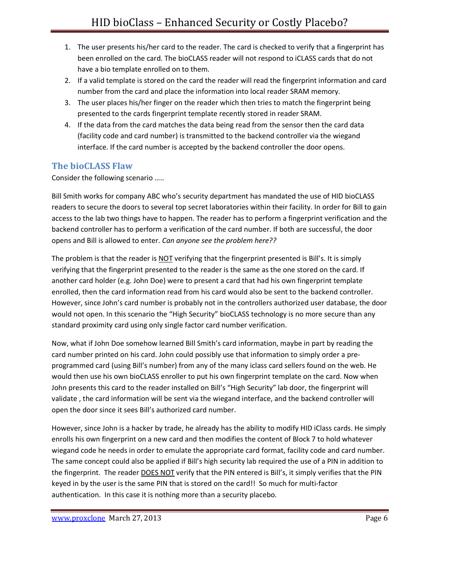- 1. The user presents his/her card to the reader. The card is checked to verify that a fingerprint has been enrolled on the card. The bioCLASS reader will not respond to iCLASS cards that do not have a bio template enrolled on to them.
- 2. If a valid template is stored on the card the reader will read the fingerprint information and card number from the card and place the information into local reader SRAM memory.
- 3. The user places his/her finger on the reader which then tries to match the fingerprint being presented to the cards fingerprint template recently stored in reader SRAM.
- 4. If the data from the card matches the data being read from the sensor then the card data (facility code and card number) is transmitted to the backend controller via the wiegand interface. If the card number is accepted by the backend controller the door opens.

### **The bioCLASS Flaw**

Consider the following scenario …..

Bill Smith works for company ABC who's security department has mandated the use of HID bioCLASS readers to secure the doors to several top secret laboratories within their facility. In order for Bill to gain access to the lab two things have to happen. The reader has to perform a fingerprint verification and the backend controller has to perform a verification of the card number. If both are successful, the door opens and Bill is allowed to enter. *Can anyone see the problem here??* 

The problem is that the reader is NOT verifying that the fingerprint presented is Bill's. It is simply verifying that the fingerprint presented to the reader is the same as the one stored on the card. If another card holder (e.g. John Doe) were to present a card that had his own fingerprint template enrolled, then the card information read from his card would also be sent to the backend controller. However, since John's card number is probably not in the controllers authorized user database, the door would not open. In this scenario the "High Security" bioCLASS technology is no more secure than any standard proximity card using only single factor card number verification.

Now, what if John Doe somehow learned Bill Smith's card information, maybe in part by reading the card number printed on his card. John could possibly use that information to simply order a preprogrammed card (using Bill's number) from any of the many iclass card sellers found on the web. He would then use his own bioCLASS enroller to put his own fingerprint template on the card. Now when John presents this card to the reader installed on Bill's "High Security" lab door, the fingerprint will validate , the card information will be sent via the wiegand interface, and the backend controller will open the door since it sees Bill's authorized card number.

However, since John is a hacker by trade, he already has the ability to modify HID iClass cards. He simply enrolls his own fingerprint on a new card and then modifies the content of Block 7 to hold whatever wiegand code he needs in order to emulate the appropriate card format, facility code and card number. The same concept could also be applied if Bill's high security lab required the use of a PIN in addition to the fingerprint. The reader DOES NOT verify that the PIN entered is Bill's, it simply verifies that the PIN keyed in by the user is the same PIN that is stored on the card!! So much for multi-factor authentication. In this case it is nothing more than a security placebo.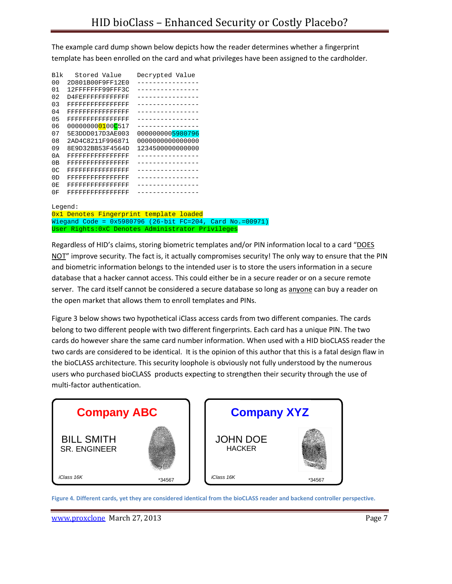The example card dump shown below depicts how the reader determines whether a fingerprint template has been enrolled on the card and what privileges have been assigned to the cardholder.

| <b>B</b> lk    | Stored Value                                   | Decrypted Value  |
|----------------|------------------------------------------------|------------------|
| 0 <sub>0</sub> | 2D801B00F9FF12E0                               |                  |
| 01             | 12FFFFFFF99FFF3C                               | --------------   |
| 02             | $047777777777777777$                           |                  |
| 03             | FFFFFFFFFFFFFFFF                               |                  |
| 0 <sub>4</sub> | FFFFFFFFFFFFFFFF                               | . <u>.</u> .     |
| 0.5            | FFFFFFFFFFFFFFFF                               | -----------      |
| 06             | 00000000 <mark>01</mark> 00 <mark>C</mark> 517 |                  |
| 07             | 5E3DDD017D3AE003                               | 0000000005980796 |
| 08             | 2AD4C8211F996871                               | 000000000000000  |
| 09             | 8E9D32BB53F4564D                               | 1234500000000000 |
| 0A             | FFFFFFFFFFFFFFFF                               |                  |
| 0B             | FFFFFFFFFFFFFFFF                               |                  |
| 0C             | FFFFFFFFFFFFFFFF                               |                  |
| 0 <sub>D</sub> | FFFFFFFFFFFFFFFF                               |                  |
| 0 <sub>F</sub> | FFFFFFFFFFFFFFFF                               |                  |
| 0F             | FFFFFFFFFFFFFFFF                               |                  |
|                |                                                |                  |
| Legend:        |                                                |                  |

0x1 Denotes Fingerprint template loaded Wiegand Code = 0x5980796 (26-bit FC=204, Card No.=00971) User Rights:0xC Denotes Administrator Privileges

Regardless of HID's claims, storing biometric templates and/or PIN information local to a card "DOES NOT" improve security. The fact is, it actually compromises security! The only way to ensure that the PIN and biometric information belongs to the intended user is to store the users information in a secure database that a hacker cannot access. This could either be in a secure reader or on a secure remote server. The card itself cannot be considered a secure database so long as anyone can buy a reader on the open market that allows them to enroll templates and PINs.

Figure 3 below shows two hypothetical iClass access cards from two different companies. The cards belong to two different people with two different fingerprints. Each card has a unique PIN. The two cards do however share the same card number information. When used with a HID bioCLASS reader the two cards are considered to be identical. It is the opinion of this author that this is a fatal design flaw in the bioCLASS architecture. This security loophole is obviously not fully understood by the numerous users who purchased bioCLASS products expecting to strengthen their security through the use of multi-factor authentication.



**Figure 4. Different cards, yet they are considered identical from the bioCLASS reader and backend controller perspective.**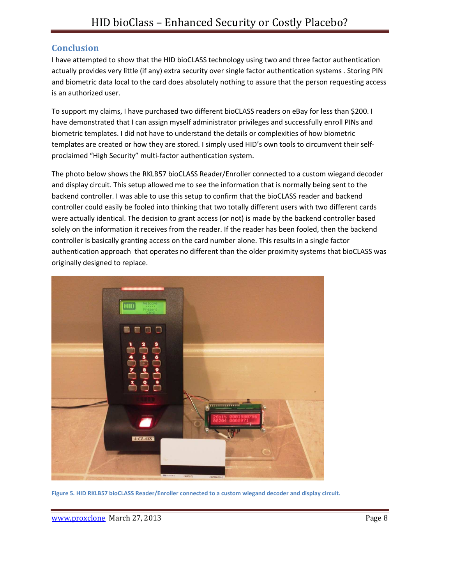### **Conclusion**

I have attempted to show that the HID bioCLASS technology using two and three factor authentication actually provides very little (if any) extra security over single factor authentication systems . Storing PIN and biometric data local to the card does absolutely nothing to assure that the person requesting access is an authorized user.

To support my claims, I have purchased two different bioCLASS readers on eBay for less than \$200. I have demonstrated that I can assign myself administrator privileges and successfully enroll PINs and biometric templates. I did not have to understand the details or complexities of how biometric templates are created or how they are stored. I simply used HID's own tools to circumvent their selfproclaimed "High Security" multi-factor authentication system.

The photo below shows the RKLB57 bioCLASS Reader/Enroller connected to a custom wiegand decoder and display circuit. This setup allowed me to see the information that is normally being sent to the backend controller. I was able to use this setup to confirm that the bioCLASS reader and backend controller could easily be fooled into thinking that two totally different users with two different cards were actually identical. The decision to grant access (or not) is made by the backend controller based solely on the information it receives from the reader. If the reader has been fooled, then the backend controller is basically granting access on the card number alone. This results in a single factor authentication approach that operates no different than the older proximity systems that bioCLASS was originally designed to replace.



**Figure 5. HID RKLB57 bioCLASS Reader/Enroller connected to a custom wiegand decoder and display circuit.**